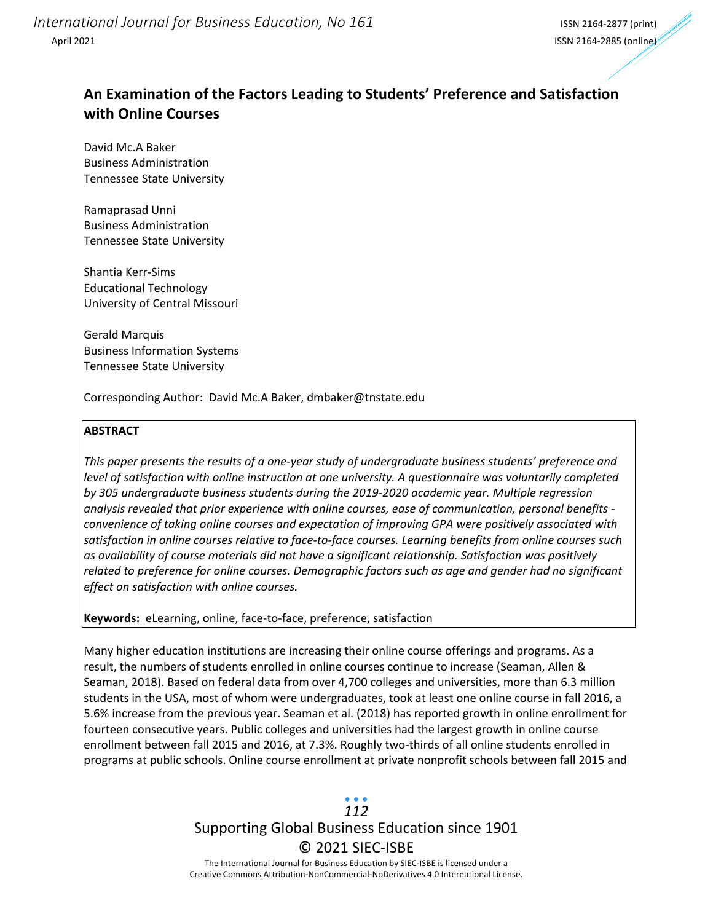# **An Examination of the Factors Leading to Students' Preference and Satisfaction with Online Courses**

David Mc.A Baker Business Administration Tennessee State University

Ramaprasad Unni Business Administration Tennessee State University

Shantia Kerr-Sims Educational Technology University of Central Missouri

Gerald Marquis Business Information Systems Tennessee State University

Corresponding Author: David Mc.A Baker, dmbaker@tnstate.edu

#### **ABSTRACT**

*This paper presents the results of a one-year study of undergraduate business students' preference and level of satisfaction with online instruction at one university. A questionnaire was voluntarily completed by 305 undergraduate business students during the 2019-2020 academic year. Multiple regression analysis revealed that prior experience with online courses, ease of communication, personal benefits convenience of taking online courses and expectation of improving GPA were positively associated with satisfaction in online courses relative to face-to-face courses. Learning benefits from online courses such as availability of course materials did not have a significant relationship. Satisfaction was positively related to preference for online courses. Demographic factors such as age and gender had no significant effect on satisfaction with online courses.* 

#### **Keywords:** eLearning, online, face-to-face, preference, satisfaction

Many higher education institutions are increasing their online course offerings and programs. As a result, the numbers of students enrolled in online courses continue to increase (Seaman, Allen & Seaman, 2018). Based on federal data from over 4,700 colleges and universities, more than 6.3 million students in the USA, most of whom were undergraduates, took at least one online course in fall 2016, a 5.6% increase from the previous year. Seaman et al. (2018) has reported growth in online enrollment for fourteen consecutive years. Public colleges and universities had the largest growth in online course enrollment between fall 2015 and 2016, at 7.3%. Roughly two-thirds of all online students enrolled in programs at public schools. Online course enrollment at private nonprofit schools between fall 2015 and

# Supporting Global Business Education since 1901 © 2021 SIEC-ISBE *112*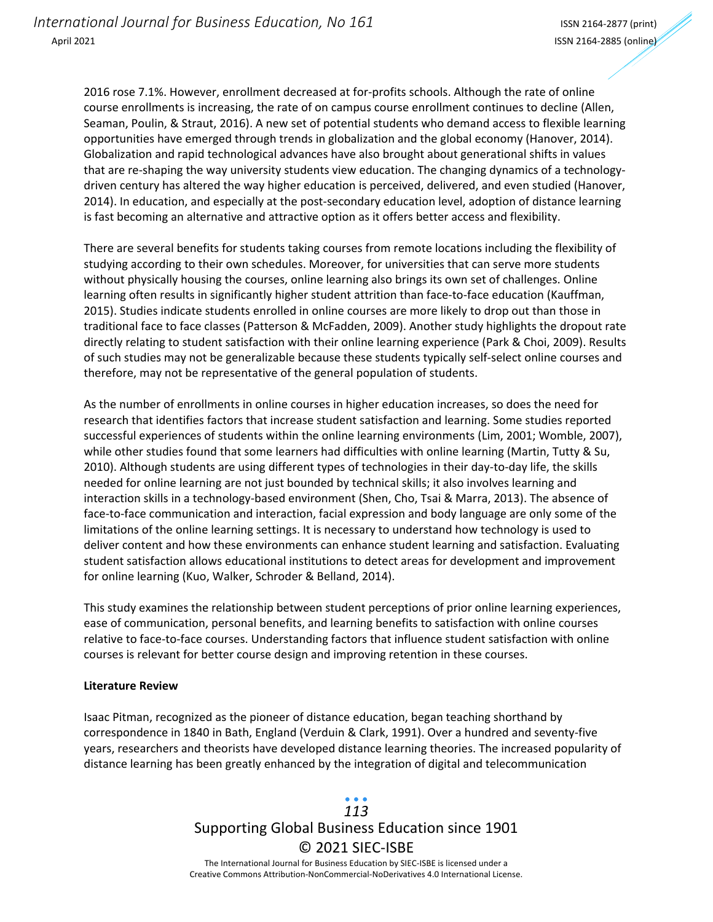2016 rose 7.1%. However, enrollment decreased at for-profits schools. Although the rate of online course enrollments is increasing, the rate of on campus course enrollment continues to decline (Allen, Seaman, Poulin, & Straut, 2016). A new set of potential students who demand access to flexible learning opportunities have emerged through trends in globalization and the global economy (Hanover, 2014). Globalization and rapid technological advances have also brought about generational shifts in values that are re-shaping the way university students view education. The changing dynamics of a technologydriven century has altered the way higher education is perceived, delivered, and even studied (Hanover, 2014). In education, and especially at the post-secondary education level, adoption of distance learning is fast becoming an alternative and attractive option as it offers better access and flexibility.

There are several benefits for students taking courses from remote locations including the flexibility of studying according to their own schedules. Moreover, for universities that can serve more students without physically housing the courses, online learning also brings its own set of challenges. Online learning often results in significantly higher student attrition than face-to-face education (Kauffman, 2015). Studies indicate students enrolled in online courses are more likely to drop out than those in traditional face to face classes (Patterson & McFadden, 2009). Another study highlights the dropout rate directly relating to student satisfaction with their online learning experience (Park & Choi, 2009). Results of such studies may not be generalizable because these students typically self-select online courses and therefore, may not be representative of the general population of students.

As the number of enrollments in online courses in higher education increases, so does the need for research that identifies factors that increase student satisfaction and learning. Some studies reported successful experiences of students within the online learning environments (Lim, 2001; Womble, 2007), while other studies found that some learners had difficulties with online learning (Martin, Tutty & Su, 2010). Although students are using different types of technologies in their day-to-day life, the skills needed for online learning are not just bounded by technical skills; it also involves learning and interaction skills in a technology-based environment (Shen, Cho, Tsai & Marra, 2013). The absence of face-to-face communication and interaction, facial expression and body language are only some of the limitations of the online learning settings. It is necessary to understand how technology is used to deliver content and how these environments can enhance student learning and satisfaction. Evaluating student satisfaction allows educational institutions to detect areas for development and improvement for online learning (Kuo, Walker, Schroder & Belland, 2014).

This study examines the relationship between student perceptions of prior online learning experiences, ease of communication, personal benefits, and learning benefits to satisfaction with online courses relative to face-to-face courses. Understanding factors that influence student satisfaction with online courses is relevant for better course design and improving retention in these courses.

#### **Literature Review**

Isaac Pitman, recognized as the pioneer of distance education, began teaching shorthand by correspondence in 1840 in Bath, England (Verduin & Clark, 1991). Over a hundred and seventy-five years, researchers and theorists have developed distance learning theories. The increased popularity of distance learning has been greatly enhanced by the integration of digital and telecommunication

# Supporting Global Business Education since 1901 © 2021 SIEC-ISBE The International Journal for Business Education by SIEC-ISBE is licensed under a *113*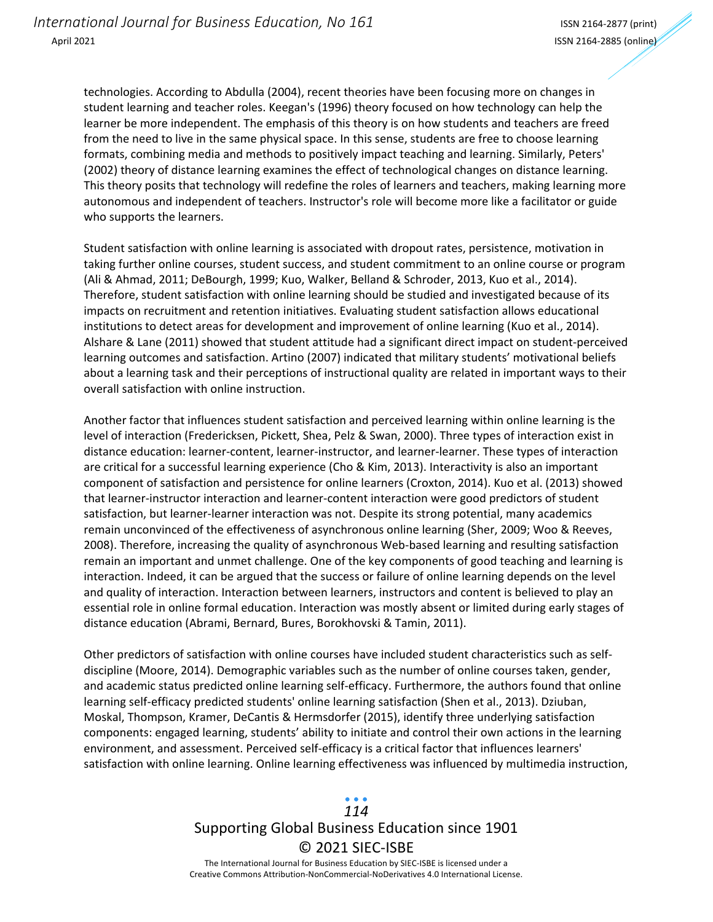technologies. According to Abdulla (2004), recent theories have been focusing more on changes in student learning and teacher roles. Keegan's (1996) theory focused on how technology can help the learner be more independent. The emphasis of this theory is on how students and teachers are freed from the need to live in the same physical space. In this sense, students are free to choose learning formats, combining media and methods to positively impact teaching and learning. Similarly, Peters' (2002) theory of distance learning examines the effect of technological changes on distance learning. This theory posits that technology will redefine the roles of learners and teachers, making learning more autonomous and independent of teachers. Instructor's role will become more like a facilitator or guide who supports the learners.

Student satisfaction with online learning is associated with dropout rates, persistence, motivation in taking further online courses, student success, and student commitment to an online course or program (Ali & Ahmad, 2011; DeBourgh, 1999; Kuo, Walker, Belland & Schroder, 2013, Kuo et al., 2014). Therefore, student satisfaction with online learning should be studied and investigated because of its impacts on recruitment and retention initiatives. Evaluating student satisfaction allows educational institutions to detect areas for development and improvement of online learning (Kuo et al., 2014). Alshare & Lane (2011) showed that student attitude had a significant direct impact on student-perceived learning outcomes and satisfaction. Artino (2007) indicated that military students' motivational beliefs about a learning task and their perceptions of instructional quality are related in important ways to their overall satisfaction with online instruction.

Another factor that influences student satisfaction and perceived learning within online learning is the level of interaction (Fredericksen, Pickett, Shea, Pelz & Swan, 2000). Three types of interaction exist in distance education: learner-content, learner-instructor, and learner-learner. These types of interaction are critical for a successful learning experience (Cho & Kim, 2013). Interactivity is also an important component of satisfaction and persistence for online learners (Croxton, 2014). Kuo et al. (2013) showed that learner-instructor interaction and learner-content interaction were good predictors of student satisfaction, but learner-learner interaction was not. Despite its strong potential, many academics remain unconvinced of the effectiveness of asynchronous online learning (Sher, 2009; Woo & Reeves, 2008). Therefore, increasing the quality of asynchronous Web-based learning and resulting satisfaction remain an important and unmet challenge. One of the key components of good teaching and learning is interaction. Indeed, it can be argued that the success or failure of online learning depends on the level and quality of interaction. Interaction between learners, instructors and content is believed to play an essential role in online formal education. Interaction was mostly absent or limited during early stages of distance education (Abrami, Bernard, Bures, Borokhovski & Tamin, 2011).

Other predictors of satisfaction with online courses have included student characteristics such as selfdiscipline (Moore, 2014). Demographic variables such as the number of online courses taken, gender, and academic status predicted online learning self-efficacy. Furthermore, the authors found that online learning self-efficacy predicted students' online learning satisfaction (Shen et al., 2013). Dziuban, Moskal, Thompson, Kramer, DeCantis & Hermsdorfer (2015), identify three underlying satisfaction components: engaged learning, students' ability to initiate and control their own actions in the learning environment, and assessment. Perceived self-efficacy is a critical factor that influences learners' satisfaction with online learning. Online learning effectiveness was influenced by multimedia instruction,

# Supporting Global Business Education since 1901 © 2021 SIEC-ISBE *114*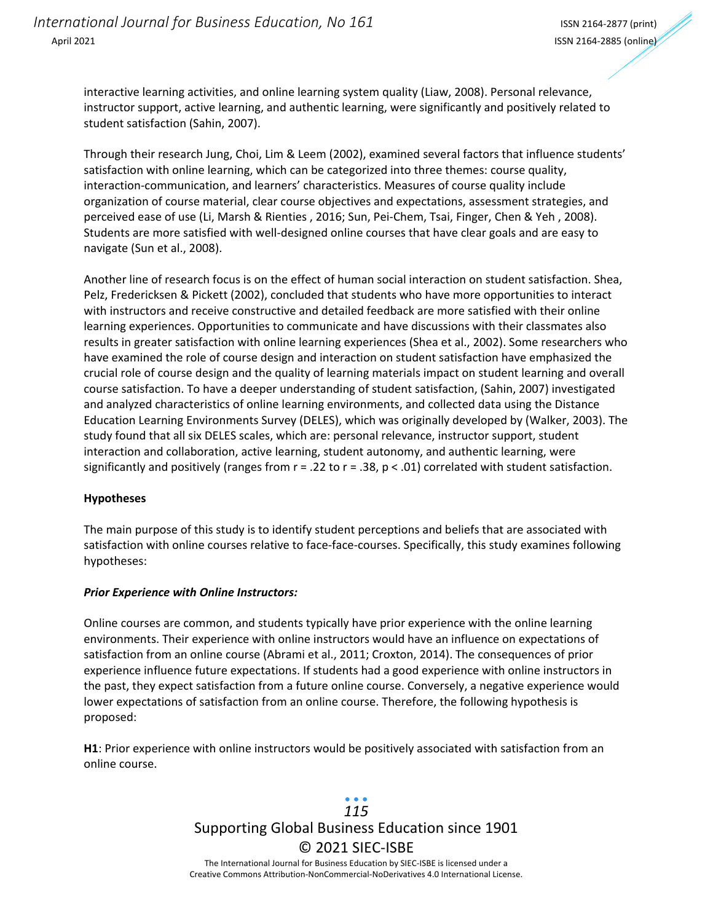interactive learning activities, and online learning system quality (Liaw, 2008). Personal relevance, instructor support, active learning, and authentic learning, were significantly and positively related to student satisfaction (Sahin, 2007).

Through their research Jung, Choi, Lim & Leem (2002), examined several factors that influence students' satisfaction with online learning, which can be categorized into three themes: course quality, interaction-communication, and learners' characteristics. Measures of course quality include organization of course material, clear course objectives and expectations, assessment strategies, and perceived ease of use (Li, Marsh & Rienties , 2016; Sun, Pei-Chem, Tsai, Finger, Chen & Yeh , 2008). Students are more satisfied with well-designed online courses that have clear goals and are easy to navigate (Sun et al., 2008).

Another line of research focus is on the effect of human social interaction on student satisfaction. Shea, Pelz, Fredericksen & Pickett (2002), concluded that students who have more opportunities to interact with instructors and receive constructive and detailed feedback are more satisfied with their online learning experiences. Opportunities to communicate and have discussions with their classmates also results in greater satisfaction with online learning experiences (Shea et al., 2002). Some researchers who have examined the role of course design and interaction on student satisfaction have emphasized the crucial role of course design and the quality of learning materials impact on student learning and overall course satisfaction. To have a deeper understanding of student satisfaction, (Sahin, 2007) investigated and analyzed characteristics of online learning environments, and collected data using the Distance Education Learning Environments Survey (DELES), which was originally developed by (Walker, 2003). The study found that all six DELES scales, which are: personal relevance, instructor support, student interaction and collaboration, active learning, student autonomy, and authentic learning, were significantly and positively (ranges from  $r = .22$  to  $r = .38$ ,  $p < .01$ ) correlated with student satisfaction.

#### **Hypotheses**

The main purpose of this study is to identify student perceptions and beliefs that are associated with satisfaction with online courses relative to face-face-courses. Specifically, this study examines following hypotheses:

#### *Prior Experience with Online Instructors:*

Online courses are common, and students typically have prior experience with the online learning environments. Their experience with online instructors would have an influence on expectations of satisfaction from an online course (Abrami et al., 2011; Croxton, 2014). The consequences of prior experience influence future expectations. If students had a good experience with online instructors in the past, they expect satisfaction from a future online course. Conversely, a negative experience would lower expectations of satisfaction from an online course. Therefore, the following hypothesis is proposed:

**H1**: Prior experience with online instructors would be positively associated with satisfaction from an online course.

### Supporting Global Business Education since 1901 © 2021 SIEC-ISBE The International Journal for Business Education by SIEC-ISBE is licensed under a Creative Commons Attribution-NonCommercial-NoDerivatives 4.0 International License. *115*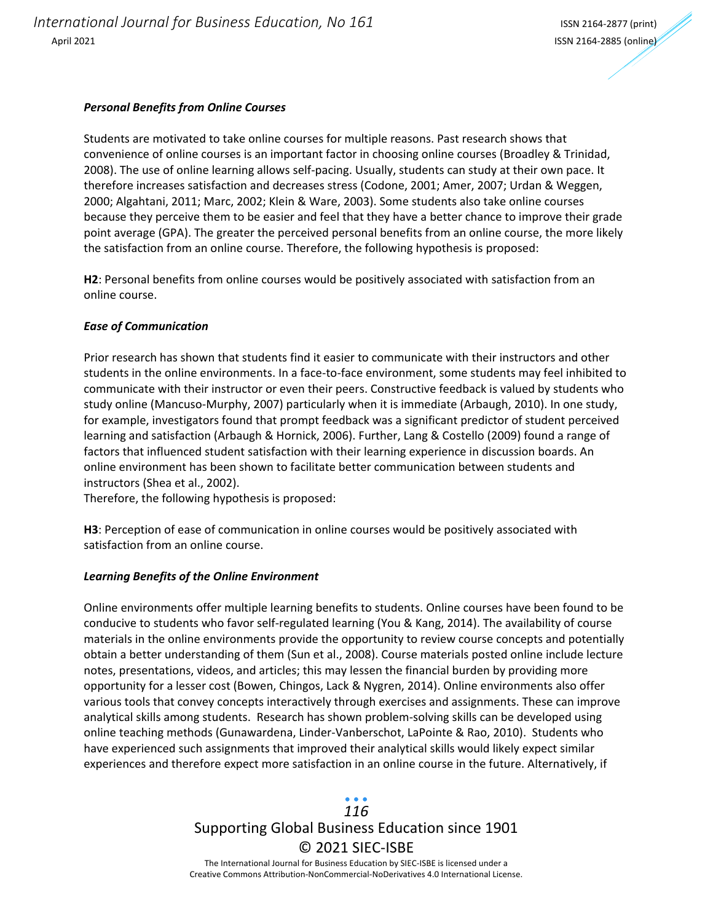#### *Personal Benefits from Online Courses*

Students are motivated to take online courses for multiple reasons. Past research shows that convenience of online courses is an important factor in choosing online courses (Broadley & Trinidad, 2008). The use of online learning allows self-pacing. Usually, students can study at their own pace. It therefore increases satisfaction and decreases stress (Codone, 2001; Amer, 2007; Urdan & Weggen, 2000; Algahtani, 2011; Marc, 2002; Klein & Ware, 2003). Some students also take online courses because they perceive them to be easier and feel that they have a better chance to improve their grade point average (GPA). The greater the perceived personal benefits from an online course, the more likely the satisfaction from an online course. Therefore, the following hypothesis is proposed:

**H2**: Personal benefits from online courses would be positively associated with satisfaction from an online course.

#### *Ease of Communication*

Prior research has shown that students find it easier to communicate with their instructors and other students in the online environments. In a face-to-face environment, some students may feel inhibited to communicate with their instructor or even their peers. Constructive feedback is valued by students who study online (Mancuso-Murphy, 2007) particularly when it is immediate (Arbaugh, 2010). In one study, for example, investigators found that prompt feedback was a significant predictor of student perceived learning and satisfaction (Arbaugh & Hornick, 2006). Further, Lang & Costello (2009) found a range of factors that influenced student satisfaction with their learning experience in discussion boards. An online environment has been shown to facilitate better communication between students and instructors (Shea et al., 2002).

Therefore, the following hypothesis is proposed:

**H3**: Perception of ease of communication in online courses would be positively associated with satisfaction from an online course.

#### *Learning Benefits of the Online Environment*

Online environments offer multiple learning benefits to students. Online courses have been found to be conducive to students who favor self-regulated learning (You & Kang, 2014). The availability of course materials in the online environments provide the opportunity to review course concepts and potentially obtain a better understanding of them (Sun et al., 2008). Course materials posted online include lecture notes, presentations, videos, and articles; this may lessen the financial burden by providing more opportunity for a lesser cost (Bowen, Chingos, Lack & Nygren, 2014). Online environments also offer various tools that convey concepts interactively through exercises and assignments. These can improve analytical skills among students. Research has shown problem-solving skills can be developed using online teaching methods (Gunawardena, Linder-Vanberschot, LaPointe & Rao, 2010). Students who have experienced such assignments that improved their analytical skills would likely expect similar experiences and therefore expect more satisfaction in an online course in the future. Alternatively, if

# Supporting Global Business Education since 1901 © 2021 SIEC-ISBE *116*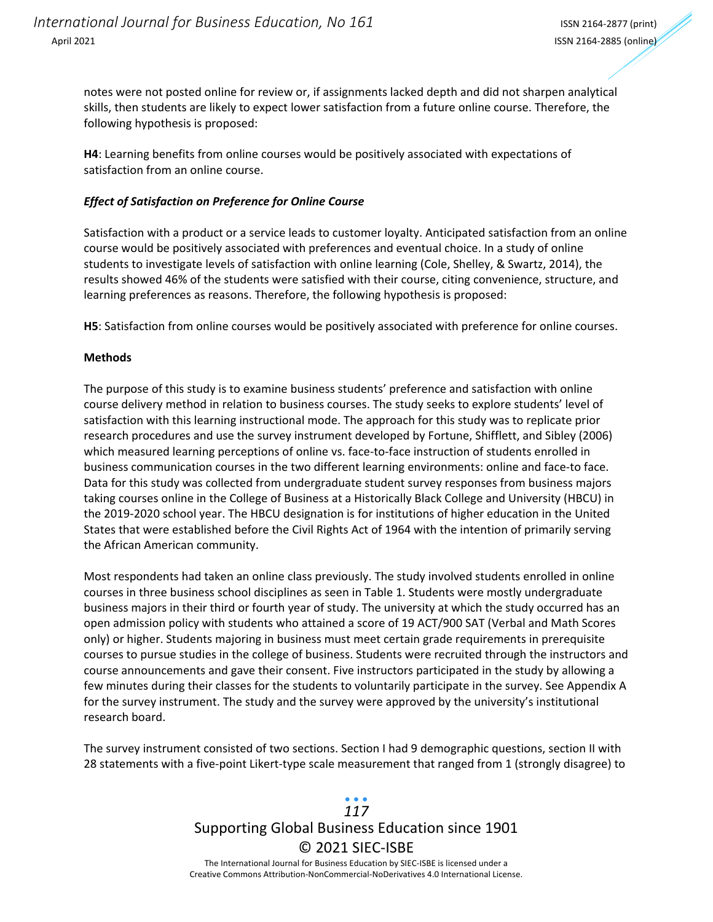notes were not posted online for review or, if assignments lacked depth and did not sharpen analytical skills, then students are likely to expect lower satisfaction from a future online course. Therefore, the following hypothesis is proposed:

**H4**: Learning benefits from online courses would be positively associated with expectations of satisfaction from an online course.

#### *Effect of Satisfaction on Preference for Online Course*

Satisfaction with a product or a service leads to customer loyalty. Anticipated satisfaction from an online course would be positively associated with preferences and eventual choice. In a study of online students to investigate levels of satisfaction with online learning (Cole, Shelley, & Swartz, 2014), the results showed 46% of the students were satisfied with their course, citing convenience, structure, and learning preferences as reasons. Therefore, the following hypothesis is proposed:

**H5**: Satisfaction from online courses would be positively associated with preference for online courses.

#### **Methods**

The purpose of this study is to examine business students' preference and satisfaction with online course delivery method in relation to business courses. The study seeks to explore students' level of satisfaction with this learning instructional mode. The approach for this study was to replicate prior research procedures and use the survey instrument developed by Fortune, Shifflett, and Sibley (2006) which measured learning perceptions of online vs. face-to-face instruction of students enrolled in business communication courses in the two different learning environments: online and face-to face. Data for this study was collected from undergraduate student survey responses from business majors taking courses online in the College of Business at a Historically Black College and University (HBCU) in the 2019-2020 school year. The HBCU designation is for institutions of higher education in the United States that were established before the Civil Rights Act of 1964 with the intention of primarily serving the African American community.

Most respondents had taken an online class previously. The study involved students enrolled in online courses in three business school disciplines as seen in Table 1. Students were mostly undergraduate business majors in their third or fourth year of study. The university at which the study occurred has an open admission policy with students who attained a score of 19 ACT/900 SAT (Verbal and Math Scores only) or higher. Students majoring in business must meet certain grade requirements in prerequisite courses to pursue studies in the college of business. Students were recruited through the instructors and course announcements and gave their consent. Five instructors participated in the study by allowing a few minutes during their classes for the students to voluntarily participate in the survey. See Appendix A for the survey instrument. The study and the survey were approved by the university's institutional research board.

The survey instrument consisted of two sections. Section I had 9 demographic questions, section II with 28 statements with a five-point Likert-type scale measurement that ranged from 1 (strongly disagree) to

# Supporting Global Business Education since 1901 © 2021 SIEC-ISBE The International Journal for Business Education by SIEC-ISBE is licensed under a *117*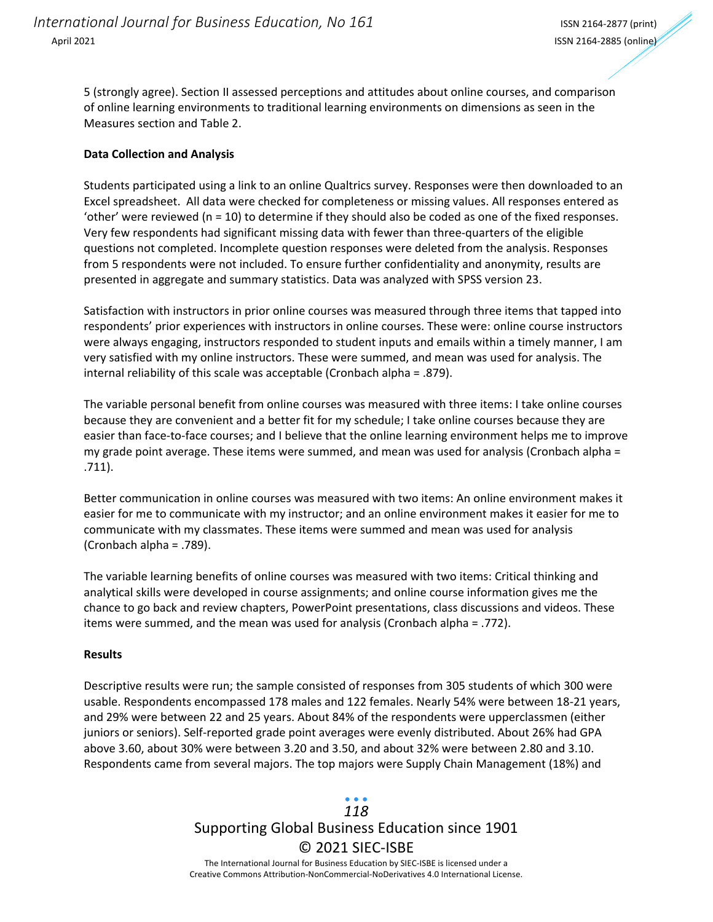5 (strongly agree). Section II assessed perceptions and attitudes about online courses, and comparison of online learning environments to traditional learning environments on dimensions as seen in the Measures section and Table 2.

#### **Data Collection and Analysis**

Students participated using a link to an online Qualtrics survey. Responses were then downloaded to an Excel spreadsheet. All data were checked for completeness or missing values. All responses entered as 'other' were reviewed (n = 10) to determine if they should also be coded as one of the fixed responses. Very few respondents had significant missing data with fewer than three-quarters of the eligible questions not completed. Incomplete question responses were deleted from the analysis. Responses from 5 respondents were not included. To ensure further confidentiality and anonymity, results are presented in aggregate and summary statistics. Data was analyzed with SPSS version 23.

Satisfaction with instructors in prior online courses was measured through three items that tapped into respondents' prior experiences with instructors in online courses. These were: online course instructors were always engaging, instructors responded to student inputs and emails within a timely manner, I am very satisfied with my online instructors. These were summed, and mean was used for analysis. The internal reliability of this scale was acceptable (Cronbach alpha = .879).

The variable personal benefit from online courses was measured with three items: I take online courses because they are convenient and a better fit for my schedule; I take online courses because they are easier than face-to-face courses; and I believe that the online learning environment helps me to improve my grade point average. These items were summed, and mean was used for analysis (Cronbach alpha = .711).

Better communication in online courses was measured with two items: An online environment makes it easier for me to communicate with my instructor; and an online environment makes it easier for me to communicate with my classmates. These items were summed and mean was used for analysis (Cronbach alpha = .789).

The variable learning benefits of online courses was measured with two items: Critical thinking and analytical skills were developed in course assignments; and online course information gives me the chance to go back and review chapters, PowerPoint presentations, class discussions and videos. These items were summed, and the mean was used for analysis (Cronbach alpha = .772).

#### **Results**

Descriptive results were run; the sample consisted of responses from 305 students of which 300 were usable. Respondents encompassed 178 males and 122 females. Nearly 54% were between 18-21 years, and 29% were between 22 and 25 years. About 84% of the respondents were upperclassmen (either juniors or seniors). Self-reported grade point averages were evenly distributed. About 26% had GPA above 3.60, about 30% were between 3.20 and 3.50, and about 32% were between 2.80 and 3.10. Respondents came from several majors. The top majors were Supply Chain Management (18%) and

## Supporting Global Business Education since 1901 © 2021 SIEC-ISBE The International Journal for Business Education by SIEC-ISBE is licensed under a *118*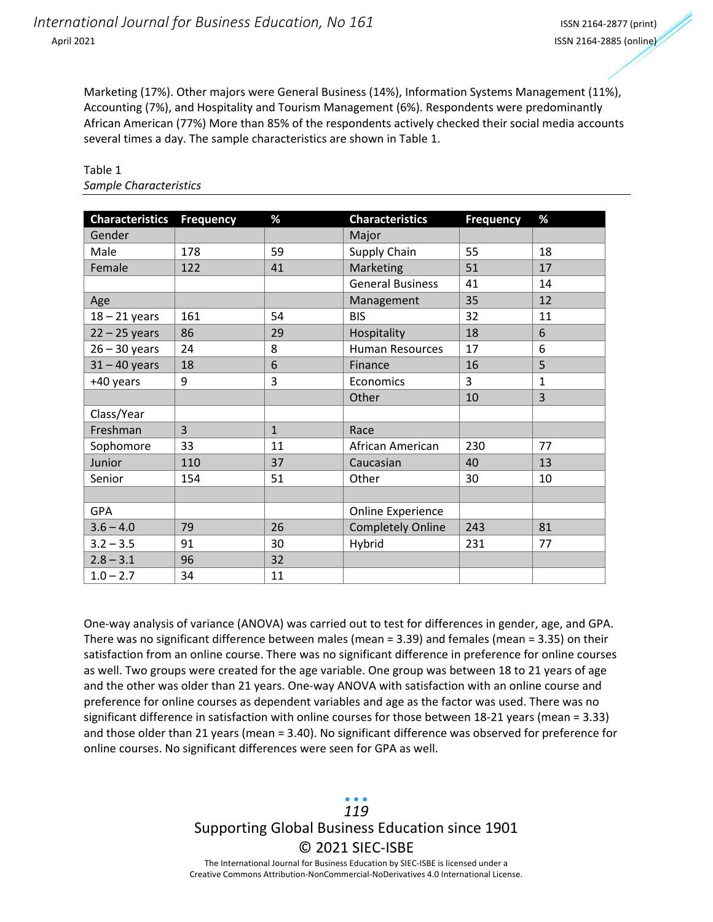Marketing (17%). Other majors were General Business (14%), Information Systems Management (11%), Accounting (7%), and Hospitality and Tourism Management (6%). Respondents were predominantly African American (77%) More than 85% of the respondents actively checked their social media accounts several times a day. The sample characteristics are shown in Table 1.

| Table 1                |
|------------------------|
| Sample Characteristics |

| <b>Characteristics</b> | <b>Frequency</b> | %            | <b>Characteristics</b>   | <b>Frequency</b> | %            |
|------------------------|------------------|--------------|--------------------------|------------------|--------------|
| Gender                 |                  |              | Major                    |                  |              |
| Male                   | 178              | 59           | Supply Chain             | 55               | 18           |
| Female                 | 122              | 41           | Marketing                | 51               | 17           |
|                        |                  |              | <b>General Business</b>  | 41               | 14           |
| Age                    |                  |              | Management               | 35               | 12           |
| $18 - 21$ years        | 161              | 54           | <b>BIS</b>               | 32               | 11           |
| $22 - 25$ years        | 86               | 29           | Hospitality              | 18               | 6            |
| $26 - 30$ years        | 24               | 8            | <b>Human Resources</b>   | 17               | 6            |
| $31 - 40$ years        | 18               | 6            | Finance                  | 16               | 5            |
| +40 years              | 9                | 3            | Economics                | 3                | $\mathbf{1}$ |
|                        |                  |              | Other                    | 10               | 3            |
| Class/Year             |                  |              |                          |                  |              |
| Freshman               | $\overline{3}$   | $\mathbf{1}$ | Race                     |                  |              |
| Sophomore              | 33               | 11           | African American         | 230              | 77           |
| Junior                 | 110              | 37           | Caucasian                | 40               | 13           |
| Senior                 | 154              | 51           | Other                    | 30               | 10           |
|                        |                  |              |                          |                  |              |
| <b>GPA</b>             |                  |              | <b>Online Experience</b> |                  |              |
| $3.6 - 4.0$            | 79               | 26           | <b>Completely Online</b> | 243              | 81           |
| $3.2 - 3.5$            | 91               | 30           | Hybrid                   | 231              | 77           |
| $2.8 - 3.1$            | 96               | 32           |                          |                  |              |
| $1.0 - 2.7$            | 34               | 11           |                          |                  |              |

One-way analysis of variance (ANOVA) was carried out to test for differences in gender, age, and GPA. There was no significant difference between males (mean = 3.39) and females (mean = 3.35) on their satisfaction from an online course. There was no significant difference in preference for online courses as well. Two groups were created for the age variable. One group was between 18 to 21 years of age and the other was older than 21 years. One-way ANOVA with satisfaction with an online course and preference for online courses as dependent variables and age as the factor was used. There was no significant difference in satisfaction with online courses for those between 18-21 years (mean = 3.33) and those older than 21 years (mean = 3.40). No significant difference was observed for preference for online courses. No significant differences were seen for GPA as well.

> Supporting Global Business Education since 1901 © 2021 SIEC-ISBE The International Journal for Business Education by SIEC-ISBE is licensed under a *119*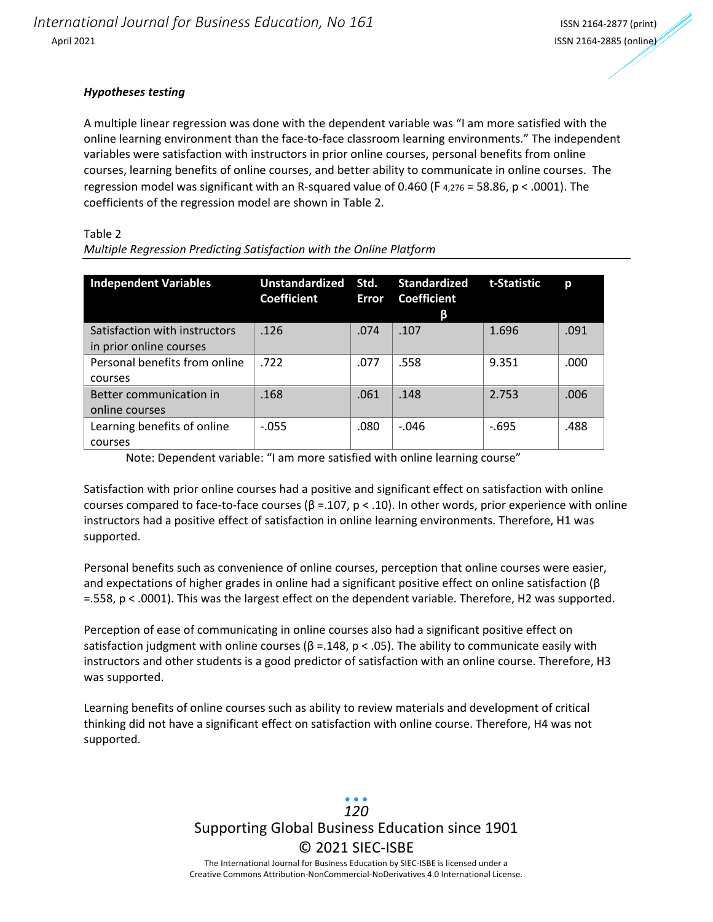#### *Hypotheses testing*

A multiple linear regression was done with the dependent variable was "I am more satisfied with the online learning environment than the face-to-face classroom learning environments." The independent variables were satisfaction with instructors in prior online courses, personal benefits from online courses, learning benefits of online courses, and better ability to communicate in online courses. The regression model was significant with an R-squared value of 0.460 (F 4,276 = 58.86, p < .0001). The coefficients of the regression model are shown in Table 2.

#### Table 2

| <b>Independent Variables</b>  | Unstandardized Std.<br><b>Coefficient</b> | <b>Error</b> | <b>Standardized</b><br><b>Coefficient</b><br>ß | t-Statistic | р    |
|-------------------------------|-------------------------------------------|--------------|------------------------------------------------|-------------|------|
| Satisfaction with instructors | .126                                      | .074         | .107                                           | 1.696       | .091 |
| in prior online courses       |                                           |              |                                                |             |      |
| Personal benefits from online | .722                                      | .077         | .558                                           | 9.351       | .000 |
| courses                       |                                           |              |                                                |             |      |
| Better communication in       | .168                                      | .061         | .148                                           | 2.753       | .006 |
| online courses                |                                           |              |                                                |             |      |
| Learning benefits of online   | $-0.55$                                   | .080         | $-.046$                                        | $-695$      | .488 |
| courses                       |                                           |              |                                                |             |      |

*Multiple Regression Predicting Satisfaction with the Online Platform*

Note: Dependent variable: "I am more satisfied with online learning course"

Satisfaction with prior online courses had a positive and significant effect on satisfaction with online courses compared to face-to-face courses ( $β = .107$ ,  $p < .10$ ). In other words, prior experience with online instructors had a positive effect of satisfaction in online learning environments. Therefore, H1 was supported.

Personal benefits such as convenience of online courses, perception that online courses were easier, and expectations of higher grades in online had a significant positive effect on online satisfaction ( $\beta$ =.558, p < .0001). This was the largest effect on the dependent variable. Therefore, H2 was supported.

Perception of ease of communicating in online courses also had a significant positive effect on satisfaction judgment with online courses ( $β = 148, p < .05$ ). The ability to communicate easily with instructors and other students is a good predictor of satisfaction with an online course. Therefore, H3 was supported.

Learning benefits of online courses such as ability to review materials and development of critical thinking did not have a significant effect on satisfaction with online course. Therefore, H4 was not supported.

> Supporting Global Business Education since 1901 © 2021 SIEC-ISBE The International Journal for Business Education by SIEC-ISBE is licensed under a *120*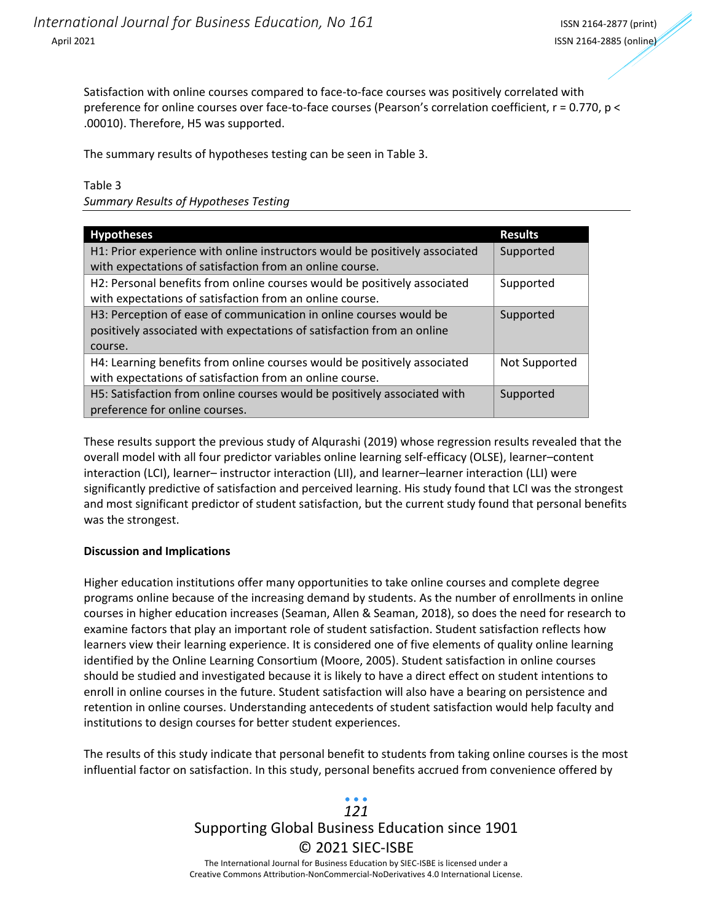Satisfaction with online courses compared to face-to-face courses was positively correlated with preference for online courses over face-to-face courses (Pearson's correlation coefficient, r = 0.770, p < .00010). Therefore, H5 was supported.

The summary results of hypotheses testing can be seen in Table 3.

Table 3

*Summary Results of Hypotheses Testing*

| <b>Hypotheses</b>                                                           | <b>Results</b> |
|-----------------------------------------------------------------------------|----------------|
| H1: Prior experience with online instructors would be positively associated | Supported      |
| with expectations of satisfaction from an online course.                    |                |
| H2: Personal benefits from online courses would be positively associated    | Supported      |
| with expectations of satisfaction from an online course.                    |                |
| H3: Perception of ease of communication in online courses would be          | Supported      |
| positively associated with expectations of satisfaction from an online      |                |
| course.                                                                     |                |
| H4: Learning benefits from online courses would be positively associated    | Not Supported  |
| with expectations of satisfaction from an online course.                    |                |
| H5: Satisfaction from online courses would be positively associated with    | Supported      |
| preference for online courses.                                              |                |

These results support the previous study of Alqurashi (2019) whose regression results revealed that the overall model with all four predictor variables online learning self-efficacy (OLSE), learner–content interaction (LCI), learner– instructor interaction (LII), and learner–learner interaction (LLI) were significantly predictive of satisfaction and perceived learning. His study found that LCI was the strongest and most significant predictor of student satisfaction, but the current study found that personal benefits was the strongest.

#### **Discussion and Implications**

Higher education institutions offer many opportunities to take online courses and complete degree programs online because of the increasing demand by students. As the number of enrollments in online courses in higher education increases (Seaman, Allen & Seaman, 2018), so does the need for research to examine factors that play an important role of student satisfaction. Student satisfaction reflects how learners view their learning experience. It is considered one of five elements of quality online learning identified by the Online Learning Consortium (Moore, 2005). Student satisfaction in online courses should be studied and investigated because it is likely to have a direct effect on student intentions to enroll in online courses in the future. Student satisfaction will also have a bearing on persistence and retention in online courses. Understanding antecedents of student satisfaction would help faculty and institutions to design courses for better student experiences.

The results of this study indicate that personal benefit to students from taking online courses is the most influential factor on satisfaction. In this study, personal benefits accrued from convenience offered by

# Supporting Global Business Education since 1901 © 2021 SIEC-ISBE The International Journal for Business Education by SIEC-ISBE is licensed under a *121*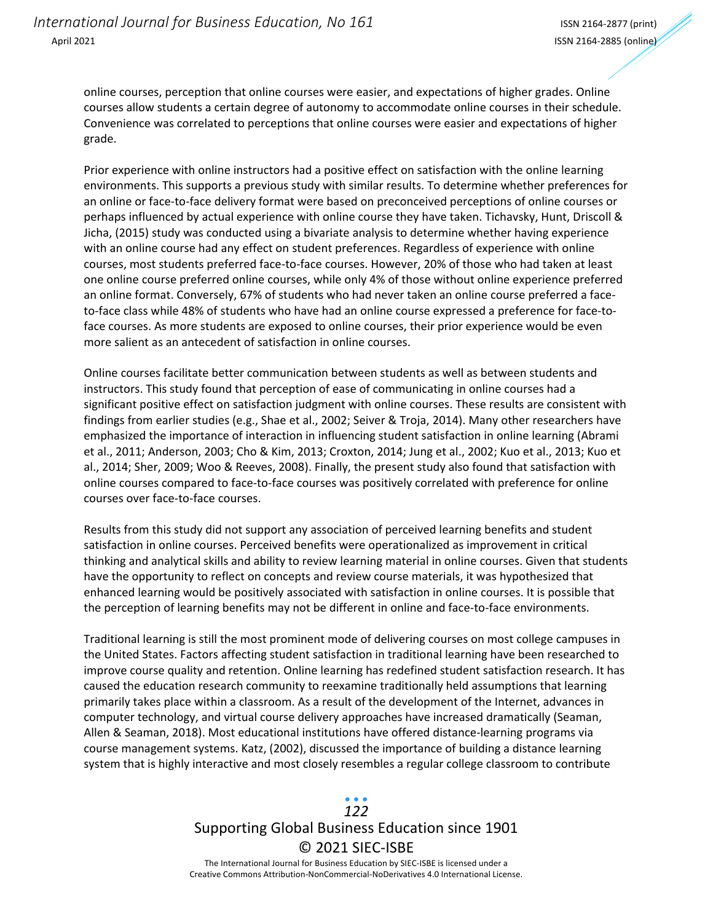online courses, perception that online courses were easier, and expectations of higher grades. Online courses allow students a certain degree of autonomy to accommodate online courses in their schedule. Convenience was correlated to perceptions that online courses were easier and expectations of higher grade.

Prior experience with online instructors had a positive effect on satisfaction with the online learning environments. This supports a previous study with similar results. To determine whether preferences for an online or face-to-face delivery format were based on preconceived perceptions of online courses or perhaps influenced by actual experience with online course they have taken. Tichavsky, Hunt, Driscoll & Jicha, (2015) study was conducted using a bivariate analysis to determine whether having experience with an online course had any effect on student preferences. Regardless of experience with online courses, most students preferred face-to-face courses. However, 20% of those who had taken at least one online course preferred online courses, while only 4% of those without online experience preferred an online format. Conversely, 67% of students who had never taken an online course preferred a faceto-face class while 48% of students who have had an online course expressed a preference for face-toface courses. As more students are exposed to online courses, their prior experience would be even more salient as an antecedent of satisfaction in online courses.

Online courses facilitate better communication between students as well as between students and instructors. This study found that perception of ease of communicating in online courses had a significant positive effect on satisfaction judgment with online courses. These results are consistent with findings from earlier studies (e.g., Shae et al., 2002; Seiver & Troja, 2014). Many other researchers have emphasized the importance of interaction in influencing student satisfaction in online learning (Abrami et al., 2011; Anderson, 2003; Cho & Kim, 2013; Croxton, 2014; Jung et al., 2002; Kuo et al., 2013; Kuo et al., 2014; Sher, 2009; Woo & Reeves, 2008). Finally, the present study also found that satisfaction with online courses compared to face-to-face courses was positively correlated with preference for online courses over face-to-face courses.

Results from this study did not support any association of perceived learning benefits and student satisfaction in online courses. Perceived benefits were operationalized as improvement in critical thinking and analytical skills and ability to review learning material in online courses. Given that students have the opportunity to reflect on concepts and review course materials, it was hypothesized that enhanced learning would be positively associated with satisfaction in online courses. It is possible that the perception of learning benefits may not be different in online and face-to-face environments.

Traditional learning is still the most prominent mode of delivering courses on most college campuses in the United States. Factors affecting student satisfaction in traditional learning have been researched to improve course quality and retention. Online learning has redefined student satisfaction research. It has caused the education research community to reexamine traditionally held assumptions that learning primarily takes place within a classroom. As a result of the development of the Internet, advances in computer technology, and virtual course delivery approaches have increased dramatically (Seaman, Allen & Seaman, 2018). Most educational institutions have offered distance-learning programs via course management systems. Katz, (2002), discussed the importance of building a distance learning system that is highly interactive and most closely resembles a regular college classroom to contribute

# Supporting Global Business Education since 1901 © 2021 SIEC-ISBE *122*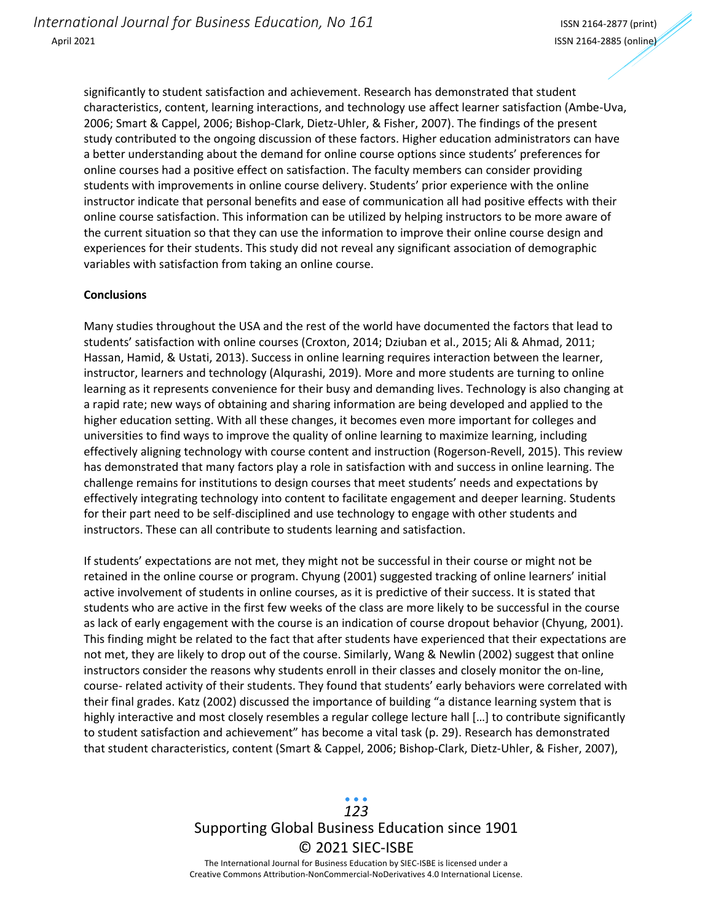significantly to student satisfaction and achievement. Research has demonstrated that student characteristics, content, learning interactions, and technology use affect learner satisfaction (Ambe-Uva, 2006; Smart & Cappel, 2006; Bishop-Clark, Dietz-Uhler, & Fisher, 2007). The findings of the present study contributed to the ongoing discussion of these factors. Higher education administrators can have a better understanding about the demand for online course options since students' preferences for online courses had a positive effect on satisfaction. The faculty members can consider providing students with improvements in online course delivery. Students' prior experience with the online instructor indicate that personal benefits and ease of communication all had positive effects with their online course satisfaction. This information can be utilized by helping instructors to be more aware of the current situation so that they can use the information to improve their online course design and experiences for their students. This study did not reveal any significant association of demographic variables with satisfaction from taking an online course.

#### **Conclusions**

Many studies throughout the USA and the rest of the world have documented the factors that lead to students' satisfaction with online courses (Croxton, 2014; Dziuban et al., 2015; Ali & Ahmad, 2011; Hassan, Hamid, & Ustati, 2013). Success in online learning requires interaction between the learner, instructor, learners and technology (Alqurashi, 2019). More and more students are turning to online learning as it represents convenience for their busy and demanding lives. Technology is also changing at a rapid rate; new ways of obtaining and sharing information are being developed and applied to the higher education setting. With all these changes, it becomes even more important for colleges and universities to find ways to improve the quality of online learning to maximize learning, including effectively aligning technology with course content and instruction (Rogerson-Revell, 2015). This review has demonstrated that many factors play a role in satisfaction with and success in online learning. The challenge remains for institutions to design courses that meet students' needs and expectations by effectively integrating technology into content to facilitate engagement and deeper learning. Students for their part need to be self-disciplined and use technology to engage with other students and instructors. These can all contribute to students learning and satisfaction.

If students' expectations are not met, they might not be successful in their course or might not be retained in the online course or program. Chyung (2001) suggested tracking of online learners' initial active involvement of students in online courses, as it is predictive of their success. It is stated that students who are active in the first few weeks of the class are more likely to be successful in the course as lack of early engagement with the course is an indication of course dropout behavior (Chyung, 2001). This finding might be related to the fact that after students have experienced that their expectations are not met, they are likely to drop out of the course. Similarly, Wang & Newlin (2002) suggest that online instructors consider the reasons why students enroll in their classes and closely monitor the on-line, course- related activity of their students. They found that students' early behaviors were correlated with their final grades. Katz (2002) discussed the importance of building "a distance learning system that is highly interactive and most closely resembles a regular college lecture hall [...] to contribute significantly to student satisfaction and achievement" has become a vital task (p. 29). Research has demonstrated that student characteristics, content (Smart & Cappel, 2006; Bishop-Clark, Dietz-Uhler, & Fisher, 2007),

## Supporting Global Business Education since 1901 © 2021 SIEC-ISBE The International Journal for Business Education by SIEC-ISBE is licensed under a *123*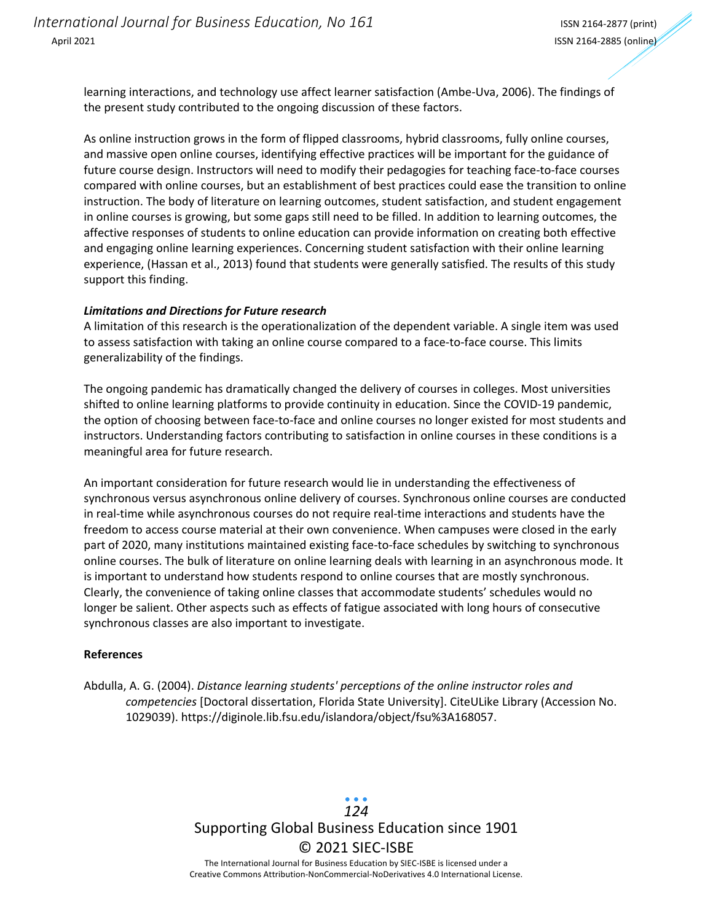learning interactions, and technology use affect learner satisfaction (Ambe-Uva, 2006). The findings of the present study contributed to the ongoing discussion of these factors.

As online instruction grows in the form of flipped classrooms, hybrid classrooms, fully online courses, and massive open online courses, identifying effective practices will be important for the guidance of future course design. Instructors will need to modify their pedagogies for teaching face-to-face courses compared with online courses, but an establishment of best practices could ease the transition to online instruction. The body of literature on learning outcomes, student satisfaction, and student engagement in online courses is growing, but some gaps still need to be filled. In addition to learning outcomes, the affective responses of students to online education can provide information on creating both effective and engaging online learning experiences. Concerning student satisfaction with their online learning experience, (Hassan et al., 2013) found that students were generally satisfied. The results of this study support this finding.

#### *Limitations and Directions for Future research*

A limitation of this research is the operationalization of the dependent variable. A single item was used to assess satisfaction with taking an online course compared to a face-to-face course. This limits generalizability of the findings.

The ongoing pandemic has dramatically changed the delivery of courses in colleges. Most universities shifted to online learning platforms to provide continuity in education. Since the COVID-19 pandemic, the option of choosing between face-to-face and online courses no longer existed for most students and instructors. Understanding factors contributing to satisfaction in online courses in these conditions is a meaningful area for future research.

An important consideration for future research would lie in understanding the effectiveness of synchronous versus asynchronous online delivery of courses. Synchronous online courses are conducted in real-time while asynchronous courses do not require real-time interactions and students have the freedom to access course material at their own convenience. When campuses were closed in the early part of 2020, many institutions maintained existing face-to-face schedules by switching to synchronous online courses. The bulk of literature on online learning deals with learning in an asynchronous mode. It is important to understand how students respond to online courses that are mostly synchronous. Clearly, the convenience of taking online classes that accommodate students' schedules would no longer be salient. Other aspects such as effects of fatigue associated with long hours of consecutive synchronous classes are also important to investigate.

#### **References**

Abdulla, A. G. (2004). *Distance learning students' perceptions of the online instructor roles and competencies* [Doctoral dissertation, Florida State University]. CiteULike Library (Accession No. 1029039). https://diginole.lib.fsu.edu/islandora/object/fsu%3A168057.

> Supporting Global Business Education since 1901 © 2021 SIEC-ISBE The International Journal for Business Education by SIEC-ISBE is licensed under a Creative Commons Attribution-NonCommercial-NoDerivatives 4.0 International License. *124*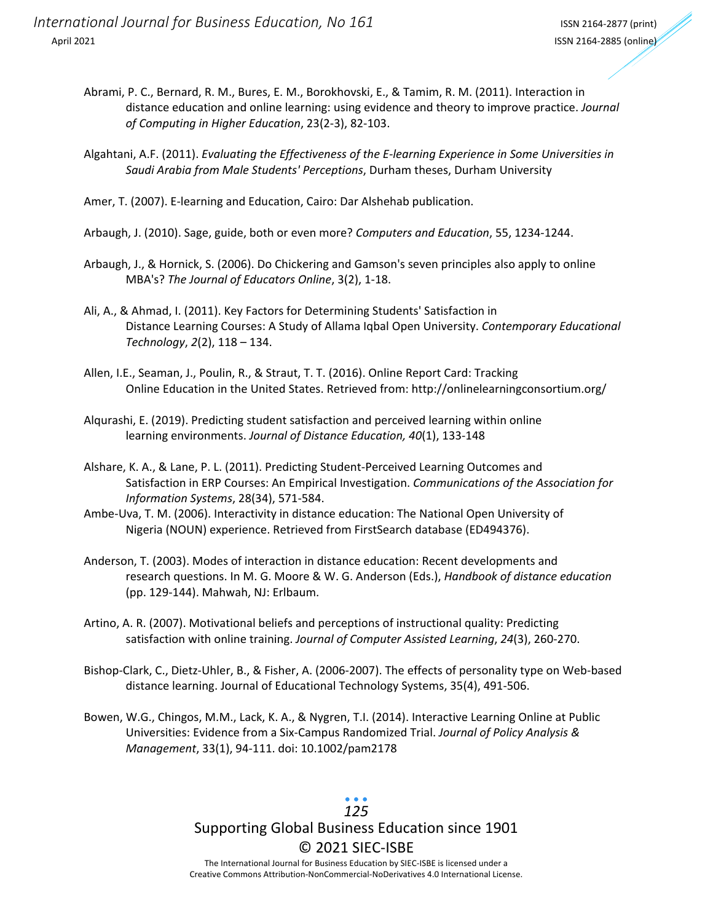- Abrami, P. C., Bernard, R. M., Bures, E. M., Borokhovski, E., & Tamim, R. M. (2011). Interaction in distance education and online learning: using evidence and theory to improve practice. *Journal of Computing in Higher Education*, 23(2-3), 82-103.
- Algahtani, A.F. (2011). *Evaluating the Effectiveness of the E-learning Experience in Some Universities in Saudi Arabia from Male Students' Perceptions*, Durham theses, Durham University
- Amer, T. (2007). E-learning and Education, Cairo: Dar Alshehab publication.
- Arbaugh, J. (2010). Sage, guide, both or even more? *Computers and Education*, 55, 1234-1244.
- Arbaugh, J., & Hornick, S. (2006). Do Chickering and Gamson's seven principles also apply to online MBA's? *The Journal of Educators Online*, 3(2), 1-18.
- Ali, A., & Ahmad, I. (2011). Key Factors for Determining Students' Satisfaction in Distance Learning Courses: A Study of Allama Iqbal Open University. *Contemporary Educational Technology*, *2*(2), 118 – 134.
- Allen, I.E., Seaman, J., Poulin, R., & Straut, T. T. (2016). Online Report Card: Tracking Online Education in the United States. Retrieved from: http://onlinelearningconsortium.org/
- [Alqurashi,](https://www.tandfonline.com/author/Alqurashi%2C+Emtinan) E. (2019). Predicting student satisfaction and perceived learning within online learning environments. *Journal of Distance Education, 40*(1), 133-148
- Alshare, K. A., & Lane, P. L. (2011). Predicting Student-Perceived Learning Outcomes and Satisfaction in ERP Courses: An Empirical Investigation. *Communications of the Association for Information Systems*, 28(34), 571-584.
- Ambe-Uva, T. M. (2006). Interactivity in distance education: The National Open University of Nigeria (NOUN) experience. Retrieved from FirstSearch database (ED494376).
- Anderson, T. (2003). Modes of interaction in distance education: Recent developments and research questions. In M. G. Moore & W. G. Anderson (Eds.), *Handbook of distance education*  (pp. 129-144). Mahwah, NJ: Erlbaum.
- Artino, A. R. (2007). Motivational beliefs and perceptions of instructional quality: Predicting satisfaction with online training. *Journal of Computer Assisted Learning*, *24*(3), 260-270.
- Bishop-Clark, C., Dietz-Uhler, B., & Fisher, A. (2006-2007). The effects of personality type on Web-based distance learning. Journal of Educational Technology Systems, 35(4), 491-506.
- Bowen, W.G., Chingos, M.M., Lack, K. A., & Nygren, T.I. (2014). Interactive Learning Online at Public Universities: Evidence from a Six-Campus Randomized Trial. *Journal of Policy Analysis & Management*, 33(1), 94-111. doi: 10.1002/pam2178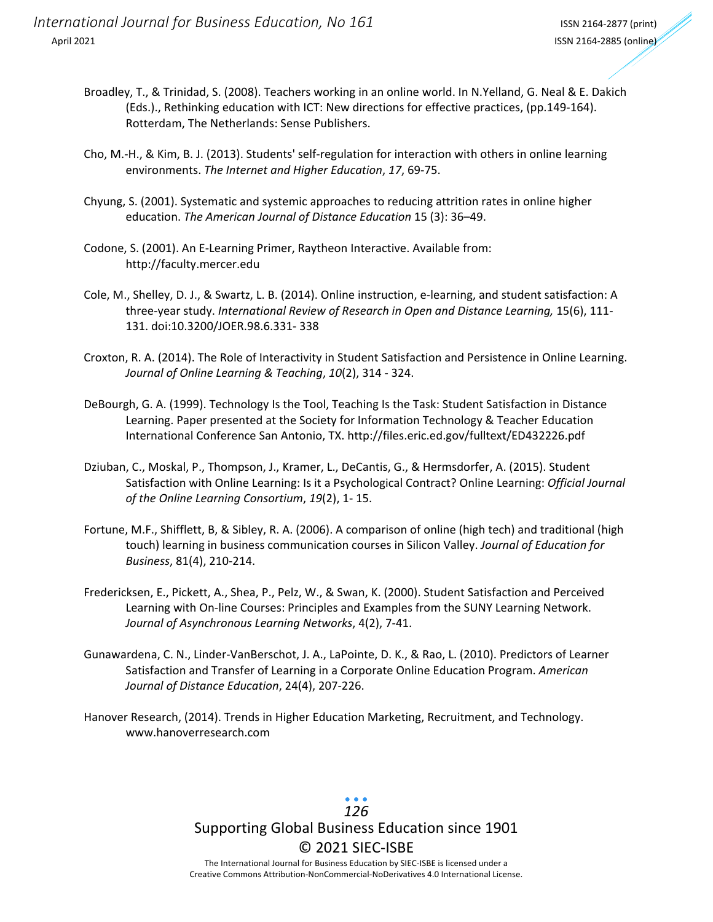- Broadley, T., & Trinidad, S. (2008). Teachers working in an online world. In N.Yelland, G. Neal & E. Dakich (Eds.)., Rethinking education with ICT: New directions for effective practices, (pp.149-164). Rotterdam, The Netherlands: Sense Publishers.
- Cho, M.-H., & Kim, B. J. (2013). Students' self-regulation for interaction with others in online learning environments. *The Internet and Higher Education*, *17*, 69-75.
- Chyung, S. (2001). Systematic and systemic approaches to reducing attrition rates in online higher education. *The American Journal of Distance Education* 15 (3): 36–49.
- Codone, S. (2001). An E-Learning Primer, Raytheon Interactive. Available from: http://faculty.mercer.edu
- Cole, M., Shelley, D. J., & Swartz, L. B. (2014). Online instruction, e-learning, and student satisfaction: A three-year study. *International Review of Research in Open and Distance Learning,* 15(6), 111- 131. doi:10.3200/JOER.98.6.331- 338
- Croxton, R. A. (2014). The Role of Interactivity in Student Satisfaction and Persistence in Online Learning. *Journal of Online Learning & Teaching*, *10*(2), 314 - 324.
- DeBourgh, G. A. (1999). Technology Is the Tool, Teaching Is the Task: Student Satisfaction in Distance Learning. Paper presented at the Society for Information Technology & Teacher Education International Conference San Antonio, TX. http://files.eric.ed.gov/fulltext/ED432226.pdf
- Dziuban, C., Moskal, P., Thompson, J., Kramer, L., DeCantis, G., & Hermsdorfer, A. (2015). Student Satisfaction with Online Learning: Is it a Psychological Contract? Online Learning: *Official Journal of the Online Learning Consortium*, *19*(2), 1- 15.
- Fortune, M.F., Shifflett, B, & Sibley, R. A. (2006). A comparison of online (high tech) and traditional (high touch) learning in business communication courses in Silicon Valley. *Journal of Education for Business*, 81(4), 210-214.
- Fredericksen, E., Pickett, A., Shea, P., Pelz, W., & Swan, K. (2000). Student Satisfaction and Perceived Learning with On-line Courses: Principles and Examples from the SUNY Learning Network. *Journal of Asynchronous Learning Networks*, 4(2), 7-41.
- Gunawardena, C. N., Linder-VanBerschot, J. A., LaPointe, D. K., & Rao, L. (2010). Predictors of Learner Satisfaction and Transfer of Learning in a Corporate Online Education Program. *American Journal of Distance Education*, 24(4), 207-226.
- Hanover Research, (2014). Trends in Higher Education Marketing, Recruitment, and Technology. www.hanoverresearch.com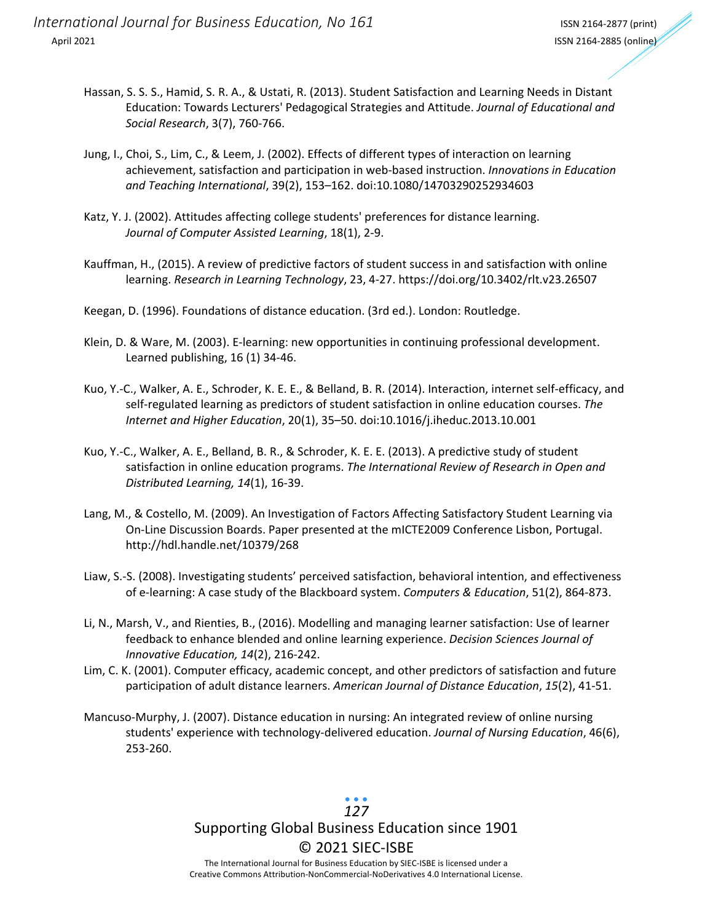- Hassan, S. S. S., Hamid, S. R. A., & Ustati, R. (2013). Student Satisfaction and Learning Needs in Distant Education: Towards Lecturers' Pedagogical Strategies and Attitude. *Journal of Educational and Social Research*, 3(7), 760-766.
- Jung, I., Choi, S., Lim, C., & Leem, J. (2002). Effects of different types of interaction on learning achievement, satisfaction and participation in web-based instruction. *Innovations in Education and Teaching International*, 39(2), 153–162. doi:10.1080/14703290252934603
- Katz, Y. J. (2002). Attitudes affecting college students' preferences for distance learning. *Journal of Computer Assisted Learning*, 18(1), 2-9.
- Kauffman, H., (2015). A review of predictive factors of student success in and satisfaction with online learning. *Research in Learning Technology*, 23, 4-27. https://doi.org/10.3402/rlt.v23.26507
- Keegan, D. (1996). Foundations of distance education. (3rd ed.). London: Routledge.
- Klein, D. & Ware, M. (2003). E-learning: new opportunities in continuing professional development. Learned publishing, 16 (1) 34-46.
- Kuo, Y.-C., Walker, A. E., Schroder, K. E. E., & Belland, B. R. (2014). Interaction, internet self-efficacy, and self-regulated learning as predictors of student satisfaction in online education courses. *The Internet and Higher Education*, 20(1), 35–50. doi:10.1016/j.iheduc.2013.10.001
- Kuo, Y.-C., Walker, A. E., Belland, B. R., & Schroder, K. E. E. (2013). A predictive study of student satisfaction in online education programs. *The International Review of Research in Open and Distributed Learning, 14*(1), 16-39.
- Lang, M., & Costello, M. (2009). An Investigation of Factors Affecting Satisfactory Student Learning via On-Line Discussion Boards. Paper presented at the mICTE2009 Conference Lisbon, Portugal. http://hdl.handle.net/10379/268
- Liaw, S.-S. (2008). Investigating students' perceived satisfaction, behavioral intention, and effectiveness of e-learning: A case study of the Blackboard system. *Computers & Education*, 51(2), 864-873.
- Li, N., Marsh, V., and Rienties, B., (2016). Modelling and managing learner satisfaction: Use of learner feedback to enhance blended and online learning experience. *Decision Sciences Journal of Innovative Education, 14*(2), 216-242.
- Lim, C. K. (2001). Computer efficacy, academic concept, and other predictors of satisfaction and future participation of adult distance learners. *American Journal of Distance Education*, *15*(2), 41-51.
- Mancuso-Murphy, J. (2007). Distance education in nursing: An integrated review of online nursing students' experience with technology-delivered education. *Journal of Nursing Education*, 46(6), 253-260.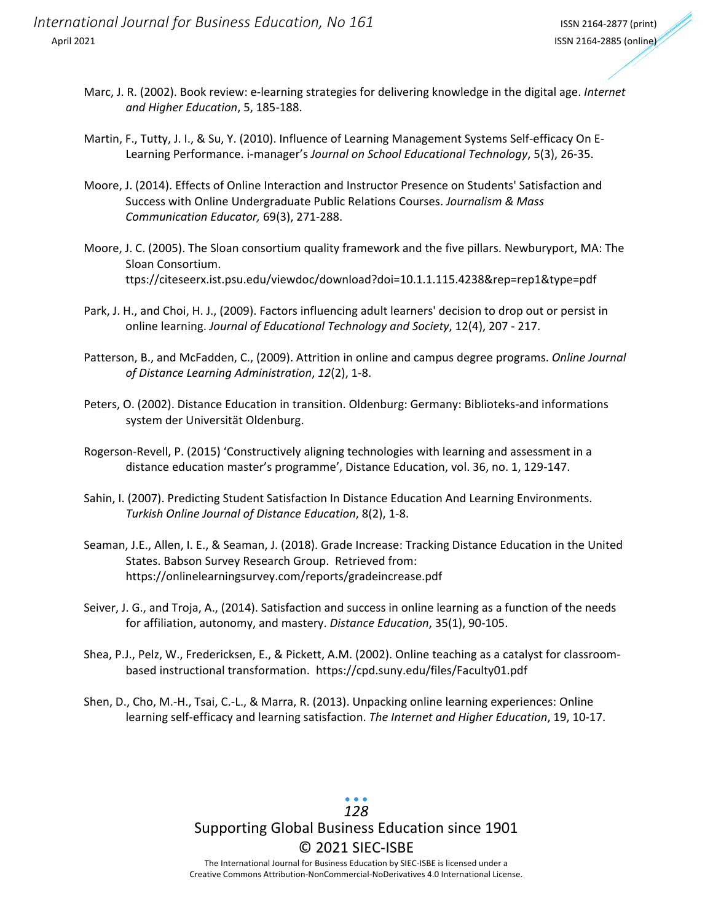- Marc, J. R. (2002). Book review: e-learning strategies for delivering knowledge in the digital age. *Internet and Higher Education*, 5, 185-188.
- Martin, F., Tutty, J. I., & Su, Y. (2010). Influence of Learning Management Systems Self-efficacy On E-Learning Performance. i-manager's *Journal on School Educational Technology*, 5(3), 26-35.
- Moore, J. (2014). Effects of Online Interaction and Instructor Presence on Students' Satisfaction and Success with Online Undergraduate Public Relations Courses. *Journalism & Mass Communication Educator,* 69(3), 271-288.
- Moore, J. C. (2005). The Sloan consortium quality framework and the five pillars. Newburyport, MA: The Sloan Consortium. ttps://citeseerx.ist.psu.edu/viewdoc/download?doi=10.1.1.115.4238&rep=rep1&type=pdf
- Park, J. H., and Choi, H. J., (2009). Factors influencing adult learners' decision to drop out or persist in online learning. *Journal of Educational Technology and Society*, 12(4), 207 - 217.
- Patterson, B., and McFadden, C., (2009). Attrition in online and campus degree programs. *Online Journal of Distance Learning Administration*, *12*(2), 1-8.
- Peters, O. (2002). Distance Education in transition. Oldenburg: Germany: Biblioteks-and informations system der Universität Oldenburg.
- Rogerson-Revell, P. (2015) 'Constructively aligning technologies with learning and assessment in a distance education master's programme', Distance Education, vol. 36, no. 1, 129-147.
- Sahin, I. (2007). Predicting Student Satisfaction In Distance Education And Learning Environments. *Turkish Online Journal of Distance Education*, 8(2), 1-8.
- Seaman, J.E., Allen, I. E., & Seaman, J. (2018). Grade Increase: Tracking Distance Education in the United States. Babson Survey Research Group. Retrieved from: https://onlinelearningsurvey.com/reports/gradeincrease.pdf
- Seiver, J. G., and Troja, A., (2014). Satisfaction and success in online learning as a function of the needs for affiliation, autonomy, and mastery. *Distance Education*, 35(1), 90-105.
- Shea, P.J., Pelz, W., Fredericksen, E., & Pickett, A.M. (2002). Online teaching as a catalyst for classroombased instructional transformation. https://cpd.suny.edu/files/Faculty01.pdf
- Shen, D., Cho, M.-H., Tsai, C.-L., & Marra, R. (2013). Unpacking online learning experiences: Online learning self-efficacy and learning satisfaction. *The Internet and Higher Education*, 19, 10-17.